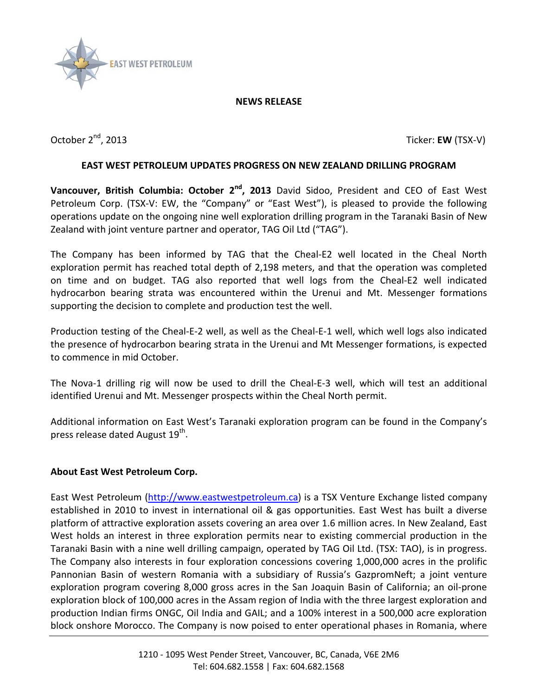

## **NEWS RELEASE**

October 2<sup>nd</sup>, 2013 Ticker: **EW** (TSX-V)

## **EAST WEST PETROLEUM UPDATES PROGRESS ON NEW ZEALAND DRILLING PROGRAM**

**Vancouver, British Columbia: October 2<sup>nd</sup>, 2013** David Sidoo, President and CEO of East West Petroleum Corp. (TSX-V: EW, the "Company" or "East West"), is pleased to provide the following operations update on the ongoing nine well exploration drilling program in the Taranaki Basin of New Zealand with joint venture partner and operator, TAG Oil Ltd ("TAG").

The Company has been informed by TAG that the Cheal-E2 well located in the Cheal North exploration permit has reached total depth of 2,198 meters, and that the operation was completed on time and on budget. TAG also reported that well logs from the Cheal-E2 well indicated hydrocarbon bearing strata was encountered within the Urenui and Mt. Messenger formations supporting the decision to complete and production test the well.

Production testing of the Cheal-E-2 well, as well as the Cheal-E-1 well, which well logs also indicated the presence of hydrocarbon bearing strata in the Urenui and Mt Messenger formations, is expected to commence in mid October.

The Nova-1 drilling rig will now be used to drill the Cheal-E-3 well, which will test an additional identified Urenui and Mt. Messenger prospects within the Cheal North permit.

Additional information on East West's Taranaki exploration program can be found in the Company's press release dated August 19<sup>th</sup>.

## **About East West Petroleum Corp.**

East West Petroleum [\(http://www.eastwestpetroleum.ca\)](http://www.eastwestpetroleum.ca/) is a TSX Venture Exchange listed company established in 2010 to invest in international oil & gas opportunities. East West has built a diverse platform of attractive exploration assets covering an area over 1.6 million acres. In New Zealand, East West holds an interest in three exploration permits near to existing commercial production in the Taranaki Basin with a nine well drilling campaign, operated by TAG Oil Ltd. (TSX: TAO), is in progress. The Company also interests in four exploration concessions covering 1,000,000 acres in the prolific Pannonian Basin of western Romania with a subsidiary of Russia's GazpromNeft; a joint venture exploration program covering 8,000 gross acres in the San Joaquin Basin of California; an oil-prone exploration block of 100,000 acres in the Assam region of India with the three largest exploration and production Indian firms ONGC, Oil India and GAIL; and a 100% interest in a 500,000 acre exploration block onshore Morocco. The Company is now poised to enter operational phases in Romania, where